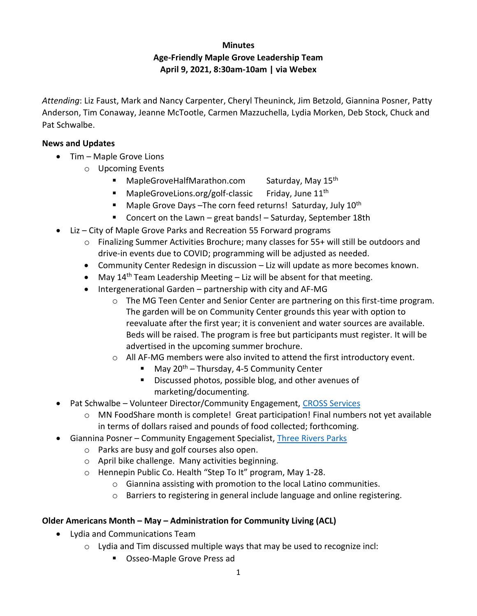# **Minutes Age-Friendly Maple Grove Leadership Team April 9, 2021, 8:30am-10am | via Webex**

*Attending*: Liz Faust, Mark and Nancy Carpenter, Cheryl Theuninck, Jim Betzold, Giannina Posner, Patty Anderson, Tim Conaway, Jeanne McTootle, Carmen Mazzuchella, Lydia Morken, Deb Stock, Chuck and Pat Schwalbe.

# **News and Updates**

- Tim Maple Grove Lions
	- o Upcoming Events
		- **■** MapleGroveHalfMarathon.com Saturday, May  $15<sup>th</sup>$
		- MapleGroveLions.org/golf-classic Friday, June 11<sup>th</sup>
		- **■** Maple Grove Days –The corn feed returns! Saturday, July  $10<sup>th</sup>$
		- Concert on the Lawn great bands! Saturday, September 18th
- Liz City of Maple Grove Parks and Recreation 55 Forward programs
	- o Finalizing Summer Activities Brochure; many classes for 55+ will still be outdoors and drive-in events due to COVID; programming will be adjusted as needed.
	- Community Center Redesign in discussion Liz will update as more becomes known.
	- May  $14<sup>th</sup>$  Team Leadership Meeting Liz will be absent for that meeting.
	- Intergenerational Garden partnership with city and AF-MG
		- $\circ$  The MG Teen Center and Senior Center are partnering on this first-time program. The garden will be on Community Center grounds this year with option to reevaluate after the first year; it is convenient and water sources are available. Beds will be raised. The program is free but participants must register. It will be advertised in the upcoming summer brochure.
		- $\circ$  All AF-MG members were also invited to attend the first introductory event.
			- May  $20<sup>th</sup>$  Thursday, 4-5 Community Center
			- Discussed photos, possible blog, and other avenues of marketing/documenting.
- Pat Schwalbe Volunteer Director/Community Engagement, CROSS Services
	- $\circ$  MN FoodShare month is complete! Great participation! Final numbers not yet available in terms of dollars raised and pounds of food collected; forthcoming.
- Giannina Posner Community Engagement Specialist, [Three Rivers Parks](https://www.threeriversparks.org/)
	- o Parks are busy and golf courses also open.
	- o April bike challenge. Many activities beginning.
	- o Hennepin Public Co. Health "Step To It" program, May 1-28.
		- o Giannina assisting with promotion to the local Latino communities.
		- o Barriers to registering in general include language and online registering.

# **Older Americans Month – May – Administration for Community Living (ACL)**

- Lydia and Communications Team
	- $\circ$  Lydia and Tim discussed multiple ways that may be used to recognize incl:
		- Osseo-Maple Grove Press ad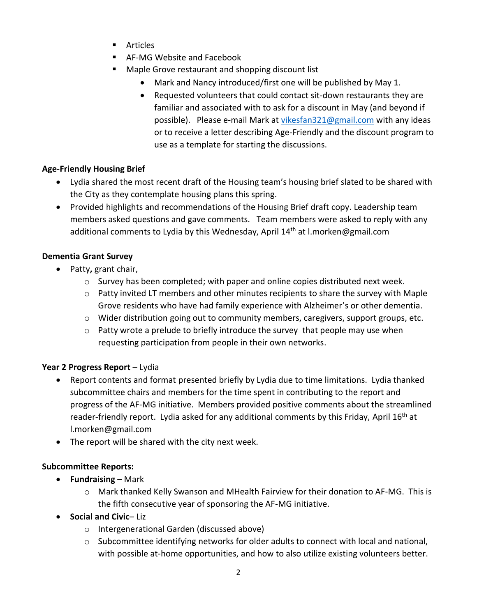- Articles
- AF-MG Website and Facebook
- Maple Grove restaurant and shopping discount list
	- Mark and Nancy introduced/first one will be published by May 1.
	- Requested volunteers that could contact sit-down restaurants they are familiar and associated with to ask for a discount in May (and beyond if possible). Please e-mail Mark a[t vikesfan321@gmail.com](mailto:vikesfan321@gmail.com) with any ideas or to receive a letter describing Age-Friendly and the discount program to use as a template for starting the discussions.

# **Age-Friendly Housing Brief**

- Lydia shared the most recent draft of the Housing team's housing brief slated to be shared with the City as they contemplate housing plans this spring.
- Provided highlights and recommendations of the Housing Brief draft copy. Leadership team members asked questions and gave comments. Team members were asked to reply with any additional comments to Lydia by this Wednesday, April  $14<sup>th</sup>$  at l.morken@gmail.com

#### **Dementia Grant Survey**

- Patty**,** grant chair,
	- $\circ$  Survey has been completed; with paper and online copies distributed next week.
	- $\circ$  Patty invited LT members and other minutes recipients to share the survey with Maple Grove residents who have had family experience with Alzheimer's or other dementia.
	- $\circ$  Wider distribution going out to community members, caregivers, support groups, etc.
	- $\circ$  Patty wrote a prelude to briefly introduce the survey that people may use when requesting participation from people in their own networks.

# **Year 2 Progress Report** – Lydia

- Report contents and format presented briefly by Lydia due to time limitations. Lydia thanked subcommittee chairs and members for the time spent in contributing to the report and progress of the AF-MG initiative. Members provided positive comments about the streamlined reader-friendly report. Lydia asked for any additional comments by this Friday, April 16<sup>th</sup> at l.morken@gmail.com
- The report will be shared with the city next week.

#### **Subcommittee Reports:**

- **Fundraising** Mark
	- o Mark thanked Kelly Swanson and MHealth Fairview for their donation to AF-MG. This is the fifth consecutive year of sponsoring the AF-MG initiative.
- **Social and Civic** Liz
	- o Intergenerational Garden (discussed above)
	- $\circ$  Subcommittee identifying networks for older adults to connect with local and national, with possible at-home opportunities, and how to also utilize existing volunteers better.